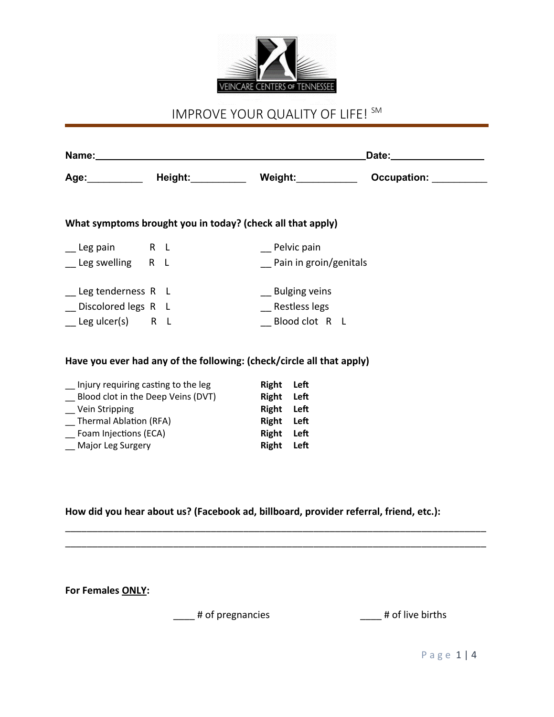

# IMPROVE YOUR QUALITY OF LIFE! SM

|                           |  |                                                                       | Date:__________________ |                        |  |             |  |
|---------------------------|--|-----------------------------------------------------------------------|-------------------------|------------------------|--|-------------|--|
|                           |  | Age:____________ Height:___________ Weight:_____________              |                         |                        |  | Occupation: |  |
|                           |  | What symptoms brought you in today? (check all that apply)            |                         |                        |  |             |  |
| Leg pain R L              |  |                                                                       |                         | Pelvic pain            |  |             |  |
| __ Leg swelling R L       |  |                                                                       |                         | Pain in groin/genitals |  |             |  |
| __ Leg tenderness R L     |  |                                                                       |                         | __ Bulging veins       |  |             |  |
| Discolored legs R L       |  |                                                                       |                         | Restless legs          |  |             |  |
| $\angle$ Leg ulcer(s) R L |  |                                                                       |                         | Blood clot R L         |  |             |  |
|                           |  | Have you ever had any of the following: (check/circle all that apply) |                         |                        |  |             |  |
|                           |  | Injury requiring casting to the leg                                   | Right Left              |                        |  |             |  |

| Blood clot in the Deep Veins (DVT) | Right Left |  |
|------------------------------------|------------|--|
| Vein Stripping                     | Right Left |  |
| Thermal Ablation (RFA)             | Right Left |  |
| Foam Injections (ECA)              | Right Left |  |
| Major Leg Surgery                  | Right Left |  |
|                                    |            |  |

**How did you hear about us? (Facebook ad, billboard, provider referral, friend, etc.):**

\_\_\_\_\_\_\_\_\_\_\_\_\_\_\_\_\_\_\_\_\_\_\_\_\_\_\_\_\_\_\_\_\_\_\_\_\_\_\_\_\_\_\_\_\_\_\_\_\_\_\_\_\_\_\_\_\_\_\_\_\_\_\_\_\_\_\_\_\_\_\_\_\_\_\_\_\_\_ \_\_\_\_\_\_\_\_\_\_\_\_\_\_\_\_\_\_\_\_\_\_\_\_\_\_\_\_\_\_\_\_\_\_\_\_\_\_\_\_\_\_\_\_\_\_\_\_\_\_\_\_\_\_\_\_\_\_\_\_\_\_\_\_\_\_\_\_\_\_\_\_\_\_\_\_\_\_

**For Females ONLY:**

\_\_\_\_ # of pregnancies \_\_\_\_ # of live births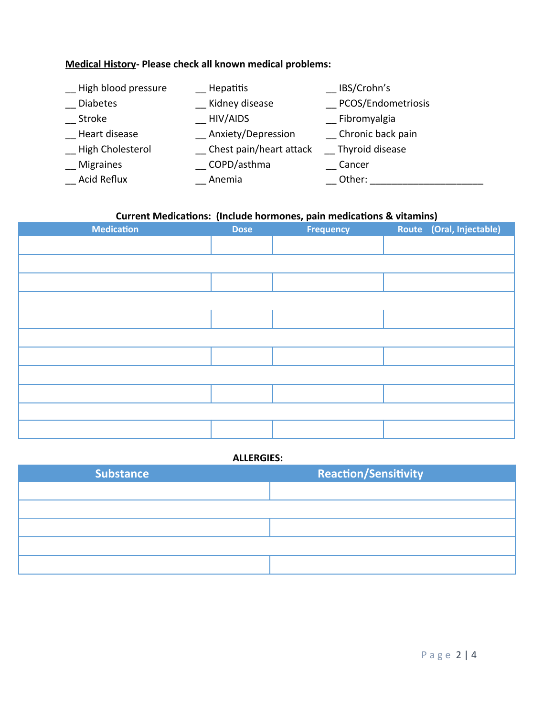# **Medical History- Please check all known medical problems:**

| High blood pressure | Hepatitis               | IBS/Crohn's        |
|---------------------|-------------------------|--------------------|
| <b>Diabetes</b>     | Kidney disease          | PCOS/Endometriosis |
| <b>Stroke</b>       | HIV/AIDS                | Fibromyalgia       |
| Heart disease       | Anxiety/Depression      | Chronic back pain  |
| High Cholesterol    | Chest pain/heart attack | Thyroid disease    |
| <b>Migraines</b>    | _ COPD/asthma           | Cancer             |
| Acid Reflux         | Anemia                  | Other:             |

# **Current Medications: (Include hormones, pain medications & vitamins)**

| <b>Medication</b> | <b>Dose</b> | <b>Frequency</b> | Route (Oral, Injectable) |
|-------------------|-------------|------------------|--------------------------|
|                   |             |                  |                          |
|                   |             |                  |                          |
|                   |             |                  |                          |
|                   |             |                  |                          |
|                   |             |                  |                          |
|                   |             |                  |                          |
|                   |             |                  |                          |
|                   |             |                  |                          |
|                   |             |                  |                          |
|                   |             |                  |                          |
|                   |             |                  |                          |

## **ALLERGIES:**

| <b>Substance</b> | <b>Reaction/Sensitivity</b> |
|------------------|-----------------------------|
|                  |                             |
|                  |                             |
|                  |                             |
|                  |                             |
|                  |                             |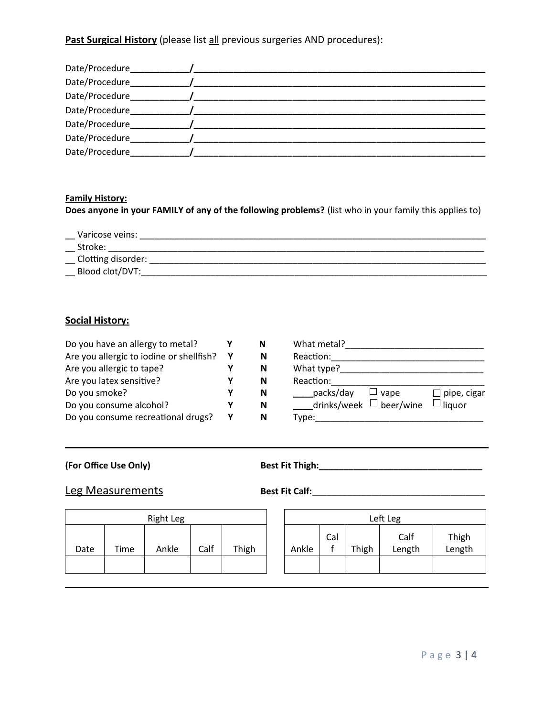**Past Surgical History** (please list all previous surgeries AND procedures):

| Date/Procedure_ |  |
|-----------------|--|
| Date/Procedure_ |  |
| Date/Procedure_ |  |
| Date/Procedure  |  |
| Date/Procedure  |  |
| Date/Procedure  |  |
| Date/Procedure  |  |

#### **Family History:**

**Does anyone in your FAMILY of any of the following problems?** (list who in your family this applies to)

\_\_ Varicose veins: \_\_\_\_\_\_\_\_\_\_\_\_\_\_\_\_\_\_\_\_\_\_\_\_\_\_\_\_\_\_\_\_\_\_\_\_\_\_\_\_\_\_\_\_\_\_\_\_\_\_\_\_\_\_\_\_\_\_\_\_\_\_\_\_\_\_\_\_\_\_

- \_\_ Stroke: \_\_\_\_\_\_\_\_\_\_\_\_\_\_\_\_\_\_\_\_\_\_\_\_\_\_\_\_\_\_\_\_\_\_\_\_\_\_\_\_\_\_\_\_\_\_\_\_\_\_\_\_\_\_\_\_\_\_\_\_\_\_\_\_\_\_\_\_\_\_\_\_\_\_\_\_
- \_\_ Clotting disorder: \_\_\_\_\_\_\_\_\_\_\_\_\_\_\_\_\_\_\_\_\_\_\_\_\_\_\_\_\_\_\_\_\_\_\_\_\_\_\_\_\_\_\_\_\_\_\_\_\_\_\_\_\_\_\_\_\_\_\_\_\_\_\_\_\_\_\_\_
- \_\_ Blood clot/DVT:\_\_\_\_\_\_\_\_\_\_\_\_\_\_\_\_\_\_\_\_\_\_\_\_\_\_\_\_\_\_\_\_\_\_\_\_\_\_\_\_\_\_\_\_\_\_\_\_\_\_\_\_\_\_\_\_\_\_\_\_\_\_\_\_\_\_\_\_\_\_

#### **Social History:**

| Do you have an allergy to metal?         | N | What metal?                                           |
|------------------------------------------|---|-------------------------------------------------------|
| Are you allergic to iodine or shellfish? | N | Reaction:                                             |
| Are you allergic to tape?                | N | What type?                                            |
| Are you latex sensitive?                 | N | Reaction:                                             |
| Do you smoke?                            | N | packs/day<br>$\Box$ pipe, cigar<br>$\sqcup$<br>' vape |
| Do you consume alcohol?                  | N | drinks/week $\Box$ beer/wine<br>$\Box$ liquor         |
| Do you consume recreational drugs?       | N | Type:                                                 |

**(For Office Use Only) Best Fit Thigh:\_\_\_\_\_\_\_\_\_\_\_\_\_\_\_\_\_\_\_\_\_\_\_\_\_\_\_\_\_\_\_\_\_**

## **Leg Measurements Best Fit Calf:**

| <b>Right Leg</b> |      |       |      |       |       |     | Left Leg |     |
|------------------|------|-------|------|-------|-------|-----|----------|-----|
|                  |      |       |      |       |       | Cal |          |     |
| Date             | Time | Ankle | Calf | Thigh | Ankle |     | Thigh    | Lei |
|                  |      |       |      |       |       |     |          |     |
|                  |      |       |      |       |       |     |          |     |

| Left Leg |     |       |                |                 |  |  |
|----------|-----|-------|----------------|-----------------|--|--|
| Ankle    | Cal | Thigh | Calf<br>Length | Thigh<br>Length |  |  |
|          |     |       |                |                 |  |  |